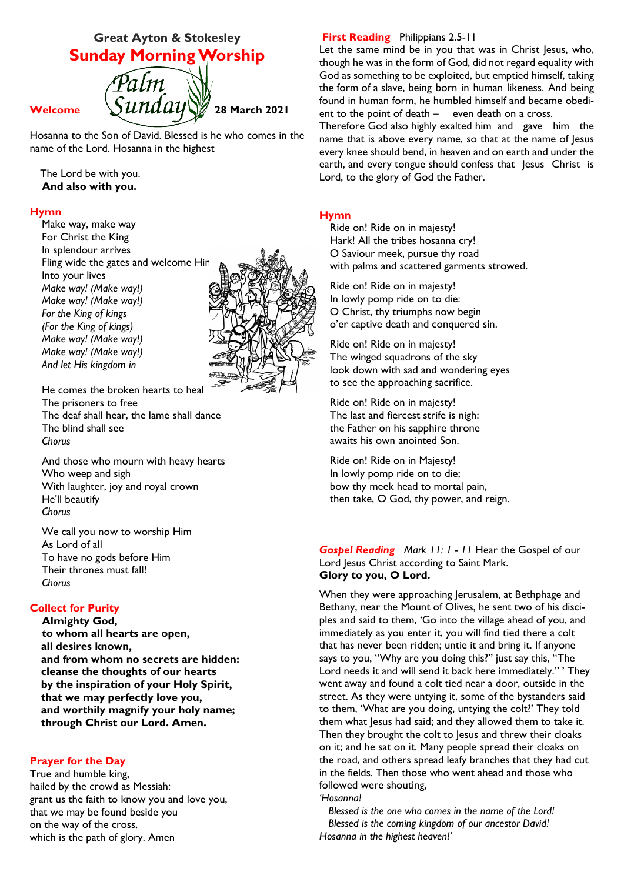# **Great Ayton & Stokesley Sunday Morning Worship**



Hosanna to the Son of David. Blessed is he who comes in the name of the Lord. Hosanna in the highest

The Lord be with you.  **And also with you.**

#### **Hymn**

Make way, make way For Christ the King In splendour arrives Fling wide the gates and welcome Him Into your lives *Make way! (Make way!) Make way! (Make way!) For the King of kings (For the King of kings) Make way! (Make way!) Make way! (Make way!) And let His kingdom in*



He comes the broken hearts to heal The prisoners to free The deaf shall hear, the lame shall dance The blind shall see *Chorus*

And those who mourn with heavy hearts Who weep and sigh With laughter, joy and royal crown He'll beautify *Chorus*

We call you now to worship Him As Lord of all To have no gods before Him Their thrones must fall! *Chorus*

# **Collect for Purity**

**Almighty God, to whom all hearts are open, all desires known, and from whom no secrets are hidden: cleanse the thoughts of our hearts by the inspiration of your Holy Spirit, that we may perfectly love you, and worthily magnify your holy name; through Christ our Lord. Amen.**

#### **Prayer for the Day**

True and humble king, hailed by the crowd as Messiah: grant us the faith to know you and love you, that we may be found beside you on the way of the cross, which is the path of glory. Amen

# **First Reading** Philippians 2.5-11

Let the same mind be in you that was in Christ Jesus, who, though he was in the form of God, did not regard equality with God as something to be exploited, but emptied himself, taking the form of a slave, being born in human likeness. And being found in human form, he humbled himself and became obedient to the point of death – even death on a cross.

Therefore God also highly exalted him and gave him the name that is above every name, so that at the name of Jesus every knee should bend, in heaven and on earth and under the earth, and every tongue should confess that Jesus Christ is Lord, to the glory of God the Father.

#### **Hymn**

Ride on! Ride on in majesty! Hark! All the tribes hosanna cry! O Saviour meek, pursue thy road with palms and scattered garments strowed.

Ride on! Ride on in majesty! In lowly pomp ride on to die: O Christ, thy triumphs now begin o'er captive death and conquered sin.

Ride on! Ride on in majesty! The winged squadrons of the sky look down with sad and wondering eyes to see the approaching sacrifice.

Ride on! Ride on in majesty! The last and fiercest strife is nigh: the Father on his sapphire throne awaits his own anointed Son.

Ride on! Ride on in Majesty! In lowly pomp ride on to die; bow thy meek head to mortal pain, then take, O God, thy power, and reign.

#### *Gospel Reading Mark 11: 1 - 11* Hear the Gospel of our Lord Jesus Christ according to Saint Mark. **Glory to you, O Lord.**

When they were approaching Jerusalem, at Bethphage and Bethany, near the Mount of Olives, he sent two of his disciples and said to them, 'Go into the village ahead of you, and immediately as you enter it, you will find tied there a colt that has never been ridden; untie it and bring it. If anyone says to you, "Why are you doing this?" just say this, "The Lord needs it and will send it back here immediately." ' They went away and found a colt tied near a door, outside in the street. As they were untying it, some of the bystanders said to them, 'What are you doing, untying the colt?' They told them what Jesus had said; and they allowed them to take it. Then they brought the colt to Jesus and threw their cloaks on it; and he sat on it. Many people spread their cloaks on the road, and others spread leafy branches that they had cut in the fields. Then those who went ahead and those who followed were shouting,

*'Hosanna!*

 *Blessed is the one who comes in the name of the Lord! Blessed is the coming kingdom of our ancestor David! Hosanna in the highest heaven!'*